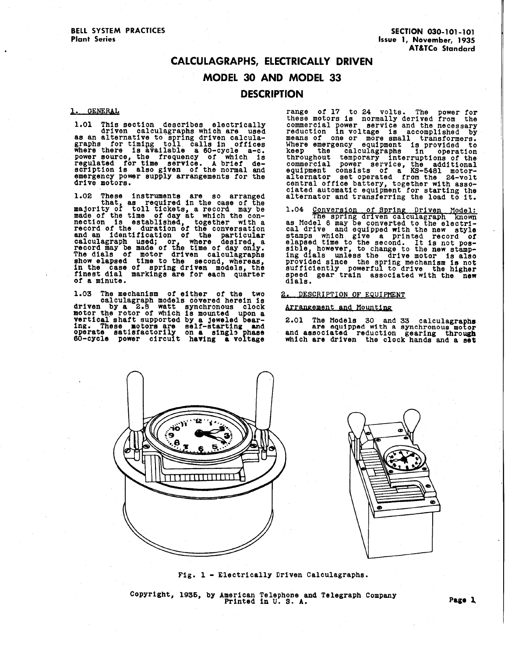# CALCULAGRAPHS, ELECTRICALLY DRIVEN

## MODEL 30 AND MODEL 33

### **DESCRIPTION**

### 1. GENERAL

1.01 This section describes electrically<br>
driven calculagraphs which are used<br>
as an alternative to spring driven calcula-<br>
graphs for timing toll calls in offices<br>
where there is available a 60-cycle a-c.<br>
power source, t emergency power supply arrangements tor the drive motors.

1.02 These instruments are so arranged<br>
that, as required in the case of the<br>
majority of toll tickets, a record may be<br>
made of the time of day at which the con-<br>
nection is established, together with a<br>
record of the dur

1.03 The mechanism of either of the two calculagraph models covered herein is driven by a 2.8 watt synchronous clock motor the rotor of Which is mounted upon a wertical shaft supported by a jeweled bear-<br>ing. These motors are self-starting and<br>operate satisfactorily on a single phase<br>60-cycle power circuit having a voltage

range of 17 to 24 volts. The power for<br>these motors is normally derived from the<br>commercial power service and the necessary<br>reduction in voltage is accomplished by means of one or more small transformers.<br>Where emergency equipment is provided to<br>keep the calculagraphs in operation<br>throughout temporary interruptions of the<br>commercial power service, the additional equipment consists of a KS-5481 motor-<br>alternator set operated from the 24-volt<br>central office battery, together with asso-<br>cated automatic equipment for starting starting the load to it.

1.04 Conversion of Spring Driven Model:<br>The spring driven calculagraph known as Model 6 may be converted to the electri-<br>cal drive and equipped with the new style<br>stamps which give a printed record of<br>elapsed time to the second. It is not pos-<br>sible, however, to change to the new stamp-<br>ing dials u provided since the spring mechanism is not<br>sufficiently powerful to drive the higher<br>speed gear train associated with the new<br>dials.

### 2. DESCRIPTION OF EOUIRMENT

### Arrangement and Mounting

2.01 The Models 30 and 33 calculagraphe are equipped with <sup>a</sup>synchronous motor and associated reduction gearing through Which are driven the clock hands and a set



### Fig. l - Electrically Driven Calculagraphs.

Copyright, 1935, by American Telephone and Telegraph Company Page 1<br>Printed in U.S. A.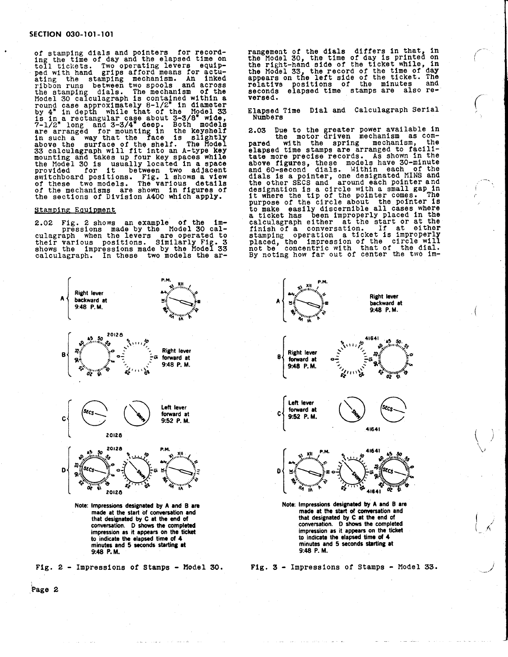### SECTION 030-101-101

of stamping dials and pointers for record-<br>ing the time of day and the elapsed time on<br>toll tickets. Two operating levers equipped with hand grips afford means for actu-<br>ating the stamping mechanism. An inked<br>ribbon runs between two spools and across<br>the stamping dials. The mechanism of the<br>Model 30 calculagraph is contained within a<br>round case ap are arranged for mounting in the keyshelf<br>in such a way that the face is slightly<br>above the surface of the shelf. The Model <sup>33</sup>calculagraph will fit.into an A-type key mounting and takes up four key spaces while the Model 30 is usually located in a space provided tor it between two adjacent switchboard positions. Fig. 1 shows a view or these two models. The various details of the mechanisms are shown in figures of<br>the sections of Division A400 which apply.

### Stamping Equipment

2.02 Fig. 2 shows an example of the im-<br>pressions made by the Model 30 cal-<br>culagraph when the levers are operated to<br>their various positions. Similarly Fig. 3<br>shows the impressions made by the Model 33<br>calculagraph. In th

rangement of the dials differs in that, in the Model 30, the time of day is printed on the right-hand side of the ticket while, in the Model 33, the record of the time of day appears on the left side of the ticket. The<br>relative positions of the minutes and<br>seconds elapsed time stamps are also re-<br>versed.

Elapsed Time Dial and Calculagraph Serial Numbers

*(* 

 $\blacksquare$ \ *)*   $\setminus$  .

2.03 Due to the greater power available in<br>the motor driven mechanism as com-<br>pared with the spring mechanism, the pared with the spring mechanism, the elapsed time stamps are arranged to facili-<br>tate more precise records. As shown in the<br>above figures, these models have 30-minute<br>and 60-second dials. Within each of the dials is a pointer, one designated MINS and the other SECS and around each pointer and designation is a circle with a small gap in it where the tip of the pointer comes. The purpose of the circle about the pointer is<br>to make easily discernible all cases where<br>a ticket has been improperly placed in the<br>calculagraph either at the start or at the<br>finish of a conversation. If at either<br>stamping op placed, the impression of the circle will<br>not be concentric with that of the dial. By noting how far out or center the two 1m-



e<br>Page 2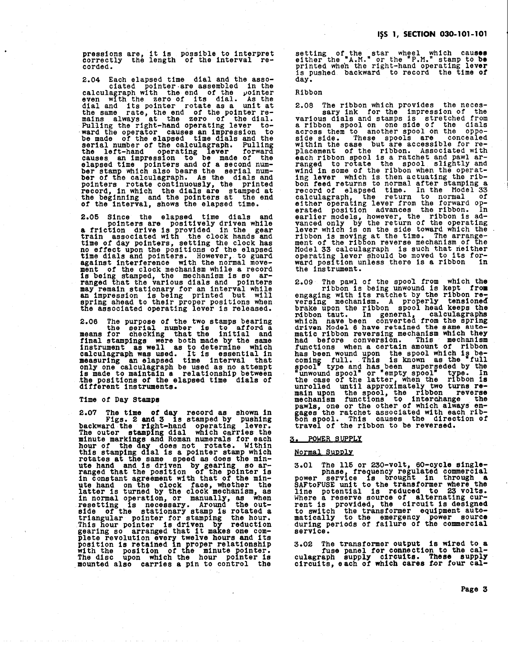pressions are, it is possible to interpret correctly the length or the interval re- corded.

2.04 Each elapsed time dial and the asso- ciated pointer-are assembled in the calculagraph with the end *ot* the vointer even with the zero or its dial. As the dial and its pointer rotate as a unit at<br>the same rate, the end of the pointer re-<br>mains always at the zero of the dial.<br>Pulling the right-hand operating lever to-<br>ward the operator causes an impression to<br>be made of the e causes an impression to be made of the elapsed time pointers and of a second num-<br>ber stamp which also bears the serial num-<br>ber of the calculagraph. As the dials and pointers rotate continuously, the printed record, in which the dials are stamped at the beginning and the pointers at the end or the interval, shows the elapsed time.

2.05 Since the elapsed time dials and pointers are positively driven while <sup>a</sup>friction drive is provided in the gear train associated with the clock hands and time or day pointers, setting the clock has no effect upon the positions or the elapsed time dials and pointers. However, to guar<sup>d</sup>against interference with the normal move- ment or the clock mechanism while a record is being stamped, the mechanism is so ar ranged that the various dials and pointers may remain stationary for an interval while<br>an impression is being printed but will<br>spring ahead to their proper positions when<br>the associated operating lever is released.

2.06 The purpose *ot* the two stamps bearing the serial number is to atrord <sup>a</sup> means for checking that the initial and<br>final stampings were both made by the same<br>instrument as well as to determine which calculagraph was used. It is essential in<br>measuring an elapsed time interval that<br>only one calculagraph be used as no attempt<br>is made to maintain a relationship between<br>the positions of the elapsed time dials of<br>different

Time *ot* Day Stamps

2.07 The time of day record as shown in<br>Figs. 2 and 3 is stamped by pushing<br>backward the right-hand operating lever.<br>The outer stamping dial which carries the<br>minute markings and Roman numerals for each<br>hour of the day doe rotates at the same speed as does the min- ute hand and is driven by gearing so ar ranged that the position of the pointer is<br>in constant agreement with that of the min-<br>ute hand on the clock face, whether it<br>latter is turned by the clock mechanism, as<br>in normal operation, or manually, as when<br>resetting

position is retained in proper relationship with the position or the minute pointer. The disc upon which the hour pointer is .mounted also carries a pin to control the I~S 1, SECTION 030-101-101 setting of the star wheel which causee either the "A.M." or the "P.M." stamp to be printed when the right-hand operating lever is pushed backward to record the time or day. Ribbon 2.08 The ribbon which provides the neces- sary ink tor the impression of the various dials and stamps is stretched rrom a ribbon spool on one side of the dials across them to another spool on the oppo- side side. These spools are concealed within the case but are accessible tor re- placement of the ribbon. Associated with each ribbon spool is a ratchet and pawl ar- ranged to rotate the spool slightly and wind in some of the ribbon when the operat- ing lever which is then actuating the rib- bon teed returns to normal after stamping a record of elapsed time. In the Model 33 calculagraph, the return to normal or either operating lever rrom the forward op- erated position advances the ribbon. In earlier models, however, the ribbon is ad- vanced only by the return or the operating lever which is on the side toward which the ribbon is moving at the time. The arrange- ment of the ribbon reverse mechanism of the Model 33 calculagraph is such that rieither operating lever should be moved to its tor- ward position unless there is a ribbon in the instrument. 2.09 The pawl or the spool from which the ribbon is being unwound is kept troa engaging with its ratchet by the ribbon re- versing mechanism. A properly tensions~ brake upon the ribbon spool head keeps the nibbon taut. In general, calculagraphs which nave been converted trom the spring driven Model 6 have retained the same auto- matic ribbon reversing mechanism which they had before conversion. This mechanism !unctions when a certain amount or ribbon has been wound upon the spool which is be- comin~ tull. This is known as the •rull spool type and has been superseded by the "unwound spool" or "empty spool• type. In the case or the latter when the ribbon is unrolled until approximately two turns re- main upon the spool, the ribbon reverse mechanism functions to inter~ange . the pawls, one or the other *ot* which always en- gages the ratchet associated with each rib- bon spool. This causes the direction or travel or the ribbon to be reversed. 3, POWER SUPPLY Normal Supply 3.01 The 115 or 230-volt, 60-cycle single- phase, \_frequency regulated commercial power serv1ce is brought in through a SAFtoFUSE unit to the transformer where the line potential is reduced to 23 volts. Where a reserve source or alternating cur- rent is provided, the circuit is designed to switch the transformer equipment auto- matically to the emergency power source during periods or tailure or the commercial service. 3.02 The transformer output is wired to a ruse panel *tor* connection to the cal- culagraph supply circuits. These supply circuits, each or which cares *t.or tour* cal-

Page 3